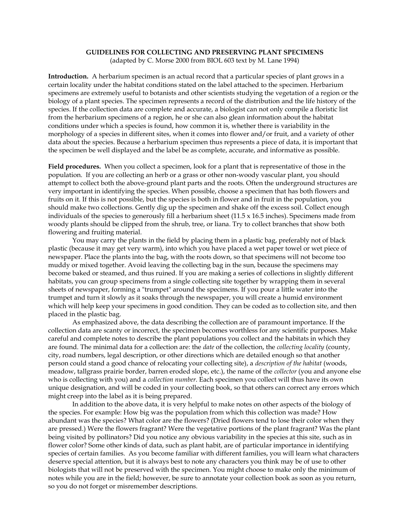# **GUIDELINES FOR COLLECTING AND PRESERVING PLANT SPECIMENS**

(adapted by C. Morse 2000 from BIOL 603 text by M. Lane 1994)

**Introduction.** A herbarium specimen is an actual record that a particular species of plant grows in a certain locality under the habitat conditions stated on the label attached to the specimen. Herbarium specimens are extremely useful to botanists and other scientists studying the vegetation of a region or the biology of a plant species. The specimen represents a record of the distribution and the life history of the species. If the collection data are complete and accurate, a biologist can not only compile a floristic list from the herbarium specimens of a region, he or she can also glean information about the habitat conditions under which a species is found, how common it is, whether there is variability in the morphology of a species in different sites, when it comes into flower and/or fruit, and a variety of other data about the species. Because a herbarium specimen thus represents a piece of data, it is important that the specimen be well displayed and the label be as complete, accurate, and informative as possible.

**Field procedures.** When you collect a specimen, look for a plant that is representative of those in the population. If you are collecting an herb or a grass or other non-woody vascular plant, you should attempt to collect both the above-ground plant parts and the roots. Often the underground structures are very important in identifying the species. When possible, choose a specimen that has both flowers and fruits on it. If this is not possible, but the species is both in flower and in fruit in the population, you should make two collections. Gently dig up the specimen and shake off the excess soil. Collect enough individuals of the species to generously fill a herbarium sheet  $(11.5 \times 16.5)$  inches). Specimens made from woody plants should be clipped from the shrub, tree, or liana. Try to collect branches that show both flowering and fruiting material.

You may carry the plants in the field by placing them in a plastic bag, preferably not of black plastic (because it may get very warm), into which you have placed a wet paper towel or wet piece of newspaper. Place the plants into the bag, with the roots down, so that specimens will not become too muddy or mixed together. Avoid leaving the collecting bag in the sun, because the specimens may become baked or steamed, and thus ruined. If you are making a series of collections in slightly different habitats, you can group specimens from a single collecting site together by wrapping them in several sheets of newspaper, forming a "trumpet" around the specimens. If you pour a little water into the trumpet and turn it slowly as it soaks through the newspaper, you will create a humid environment which will help keep your specimens in good condition. They can be coded as to collection site, and then placed in the plastic bag.

As emphasized above, the data describing the collection are of paramount importance. If the collection data are scanty or incorrect, the specimen becomes worthless for any scientific purposes. Make careful and complete notes to describe the plant populations you collect and the habitats in which they are found. The minimal data for a collection are: the *date* of the collection, the *collecting locality* (county, city, road numbers, legal description, or other directions which are detailed enough so that another person could stand a good chance of relocating your collecting site), a *description of the habitat* (woods, meadow, tallgrass prairie border, barren eroded slope, etc.), the name of the *collector* (you and anyone else who is collecting with you) and a *collection number*. Each specimen you collect will thus have its own unique designation, and will be coded in your collecting book, so that others can correct any errors which might creep into the label as it is being prepared.

In addition to the above data, it is very helpful to make notes on other aspects of the biology of the species. For example: How big was the population from which this collection was made? How abundant was the species? What color are the flowers? (Dried flowers tend to lose their color when they are pressed.) Were the flowers fragrant? Were the vegetative portions of the plant fragrant? Was the plant being visited by pollinators? Did you notice any obvious variability in the species at this site, such as in flower color? Some other kinds of data, such as plant habit, are of particular importance in identifying species of certain families. As you become familiar with different families, you will learn what characters deserve special attention, but it is always best to note any characters you think may be of use to other biologists that will not be preserved with the specimen. You might choose to make only the minimum of notes while you are in the field; however, be sure to annotate your collection book as soon as you return, so you do not forget or misremember descriptions.